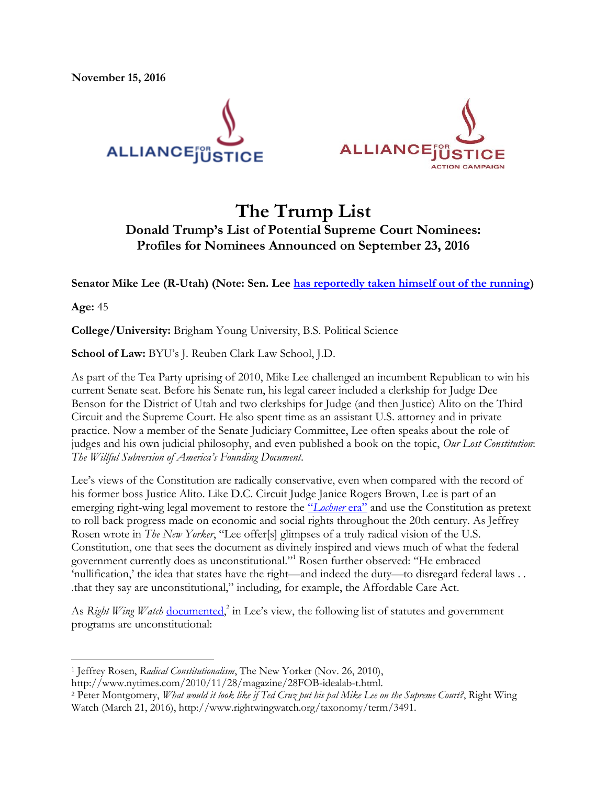



# **The Trump List Donald Trump's List of Potential Supreme Court Nominees: Profiles for Nominees Announced on September 23, 2016**

**Senator Mike Lee (R-Utah) (Note: Sen. Lee [has reportedly taken himself out of the running\)](http://www.politico.com/story/2016/09/mike-lee-no-trump-supreme-court-228573)** 

**Age:** 45

 $\overline{\phantom{a}}$ 

**College/University:** Brigham Young University, B.S. Political Science

**School of Law:** BYU's J. Reuben Clark Law School, J.D.

As part of the Tea Party uprising of 2010, Mike Lee challenged an incumbent Republican to win his current Senate seat. Before his Senate run, his legal career included a clerkship for Judge Dee Benson for the District of Utah and two clerkships for Judge (and then Justice) Alito on the Third Circuit and the Supreme Court. He also spent time as an assistant U.S. attorney and in private practice. Now a member of the Senate Judiciary Committee, Lee often speaks about the role of judges and his own judicial philosophy, and even published a book on the topic, *Our Lost Constitution*: *The Willful Subversion of America's Founding Document*.

Lee's views of the Constitution are radically conservative, even when compared with the record of his former boss Justice Alito. Like D.C. Circuit Judge Janice Rogers Brown, Lee is part of an emerging right-wing legal movement to restore the "*[Lochner](https://thinkprogress.org/the-most-chilling-political-appointment-that-youve-probably-never-heard-of-d2b083a153ab#.h5hlxo7dt)* era" and use the Constitution as pretext to roll back progress made on economic and social rights throughout the 20th century. As Jeffrey Rosen wrote in *The New Yorker*, "Lee offer[s] glimpses of a truly radical vision of the U.S. Constitution, one that sees the document as divinely inspired and views much of what the federal government currently does as unconstitutional." <sup>1</sup> Rosen further observed: "He embraced 'nullification,' the idea that states have the right—and indeed the duty—to disregard federal laws . . .that they say are unconstitutional," including, for example, the Affordable Care Act.

As *Right Wing Watch* [documented,](http://www.rightwingwatch.org/taxonomy/term/3491)<sup>2</sup> in Lee's view, the following list of statutes and government programs are unconstitutional:

<sup>1</sup> Jeffrey Rosen, *Radical Constitutionalism*, The New Yorker (Nov. 26, 2010),

http://www.nytimes.com/2010/11/28/magazine/28FOB-idealab-t.html.

<sup>2</sup> Peter Montgomery, *What would it look like if Ted Cruz put his pal Mike Lee on the Supreme Court?*, Right Wing Watch (March 21, 2016), http://www.rightwingwatch.org/taxonomy/term/3491.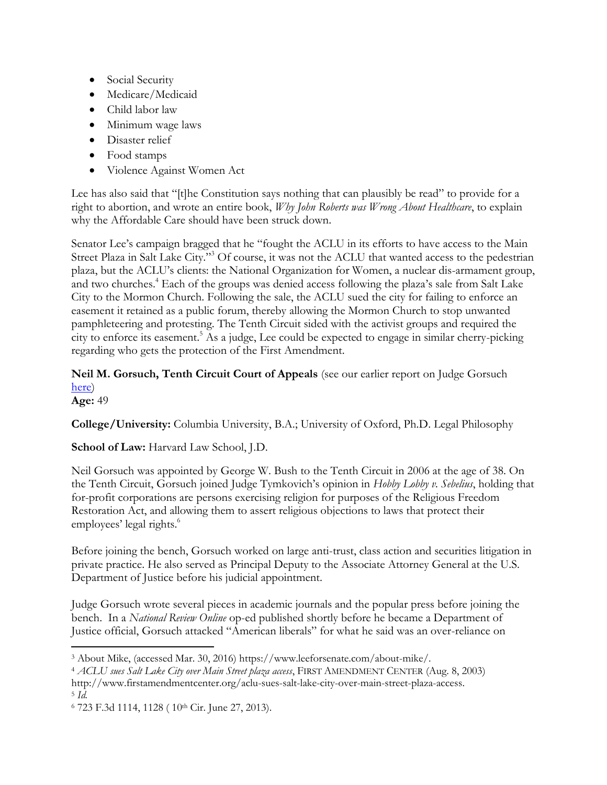- Social Security
- Medicare/Medicaid
- Child labor law
- Minimum wage laws
- Disaster relief
- Food stamps
- Violence Against Women Act

Lee has also said that "[t]he Constitution says nothing that can plausibly be read" to provide for a right to abortion, and wrote an entire book, *Why John Roberts was Wrong About Healthcare*, to explain why the Affordable Care should have been struck down.

Senator Lee's campaign bragged that he "fought the ACLU in its efforts to have access to the Main Street Plaza in Salt Lake City."<sup>3</sup> Of course, it was not the ACLU that wanted access to the pedestrian plaza, but the ACLU's clients: the National Organization for Women, a nuclear dis-armament group, and two churches.<sup>4</sup> Each of the groups was denied access following the plaza's sale from Salt Lake City to the Mormon Church. Following the sale, the ACLU sued the city for failing to enforce an easement it retained as a public forum, thereby allowing the Mormon Church to stop unwanted pamphleteering and protesting. The Tenth Circuit sided with the activist groups and required the city to enforce its easement.<sup>5</sup> As a judge, Lee could be expected to engage in similar cherry-picking regarding who gets the protection of the First Amendment.

# **Neil M. Gorsuch, Tenth Circuit Court of Appeals** (see our earlier report on Judge Gorsuch [here\)](http://afjactioncampaign.org/wp-content/uploads/2016/09/Gorsuch-AFJAC-Report.pdf)

**Age:** 49

**College/University:** Columbia University, B.A.; University of Oxford, Ph.D. Legal Philosophy

**School of Law:** Harvard Law School, J.D.

Neil Gorsuch was appointed by George W. Bush to the Tenth Circuit in 2006 at the age of 38. On the Tenth Circuit, Gorsuch joined Judge Tymkovich's opinion in *Hobby Lobby v. Sebelius*, holding that for-profit corporations are persons exercising religion for purposes of the Religious Freedom Restoration Act, and allowing them to assert religious objections to laws that protect their employees' legal rights.<sup>6</sup>

Before joining the bench, Gorsuch worked on large anti-trust, class action and securities litigation in private practice. He also served as Principal Deputy to the Associate Attorney General at the U.S. Department of Justice before his judicial appointment.

Judge Gorsuch wrote several pieces in academic journals and the popular press before joining the bench. In a *National Review Online* op-ed published shortly before he became a Department of Justice official, Gorsuch attacked "American liberals" for what he said was an over-reliance on

 $\overline{a}$ <sup>3</sup> About Mike, (accessed Mar. 30, 2016) https://www.leeforsenate.com/about-mike/.

<sup>4</sup> *ACLU sues Salt Lake City over Main Street plaza access*, FIRST AMENDMENT CENTER (Aug. 8, 2003) http://www.firstamendmentcenter.org/aclu-sues-salt-lake-city-over-main-street-plaza-access. <sup>5</sup> *Id.*

<sup>6</sup> 723 F.3d 1114, 1128 ( 10th Cir. June 27, 2013).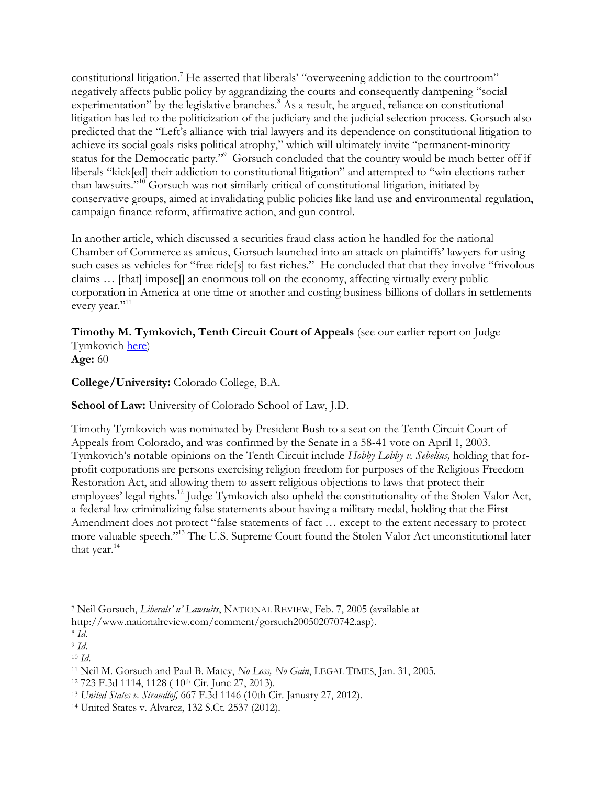constitutional litigation.<sup>7</sup> He asserted that liberals' "overweening addiction to the courtroom" negatively affects public policy by aggrandizing the courts and consequently dampening "social experimentation" by the legislative branches.<sup>8</sup> As a result, he argued, reliance on constitutional litigation has led to the politicization of the judiciary and the judicial selection process. Gorsuch also predicted that the "Left's alliance with trial lawyers and its dependence on constitutional litigation to achieve its social goals risks political atrophy," which will ultimately invite "permanent-minority status for the Democratic party."<sup>9</sup> Gorsuch concluded that the country would be much better off if liberals "kick[ed] their addiction to constitutional litigation" and attempted to "win elections rather than lawsuits."<sup>10</sup> Gorsuch was not similarly critical of constitutional litigation, initiated by conservative groups, aimed at invalidating public policies like land use and environmental regulation, campaign finance reform, affirmative action, and gun control.

In another article, which discussed a securities fraud class action he handled for the national Chamber of Commerce as amicus, Gorsuch launched into an attack on plaintiffs' lawyers for using such cases as vehicles for "free ride[s] to fast riches." He concluded that that they involve "frivolous claims … [that] impose[] an enormous toll on the economy, affecting virtually every public corporation in America at one time or another and costing business billions of dollars in settlements every year."<sup>11</sup>

**Timothy M. Tymkovich, Tenth Circuit Court of Appeals** (see our earlier report on Judge Tymkovich [here\)](http://afjactioncampaign.org/wp-content/uploads/2016/09/Tymkovich-AFJAC-Report.pdf)

**Age:** 60

**College/University:** Colorado College, B.A.

**School of Law:** University of Colorado School of Law, J.D.

Timothy Tymkovich was nominated by President Bush to a seat on the Tenth Circuit Court of Appeals from Colorado, and was confirmed by the Senate in a 58-41 vote on April 1, 2003. Tymkovich's notable opinions on the Tenth Circuit include *Hobby Lobby v. Sebelius,* holding that forprofit corporations are persons exercising religion freedom for purposes of the Religious Freedom Restoration Act, and allowing them to assert religious objections to laws that protect their employees' legal rights.<sup>12</sup> Judge Tymkovich also upheld the constitutionality of the Stolen Valor Act, a federal law criminalizing false statements about having a military medal, holding that the First Amendment does not protect "false statements of fact … except to the extent necessary to protect more valuable speech." <sup>13</sup> The U.S. Supreme Court found the Stolen Valor Act unconstitutional later that year.<sup>14</sup>

l <sup>7</sup> Neil Gorsuch, *Liberals' n' Lawsuits*, NATIONAL REVIEW, Feb. 7, 2005 (available at

http://www.nationalreview.com/comment/gorsuch200502070742.asp).

<sup>8</sup> *Id*.

<sup>9</sup> *Id*.

<sup>10</sup> *Id*.

<sup>11</sup> Neil M. Gorsuch and Paul B. Matey, *No Loss, No Gain*, LEGAL TIMES, Jan. 31, 2005.

<sup>12</sup> 723 F.3d 1114, 1128 ( 10th Cir. June 27, 2013).

<sup>13</sup> *United States v. Strandlof,* 667 F.3d 1146 (10th Cir. January 27, 2012).

<sup>14</sup> United States v. Alvarez, 132 S.Ct. 2537 (2012).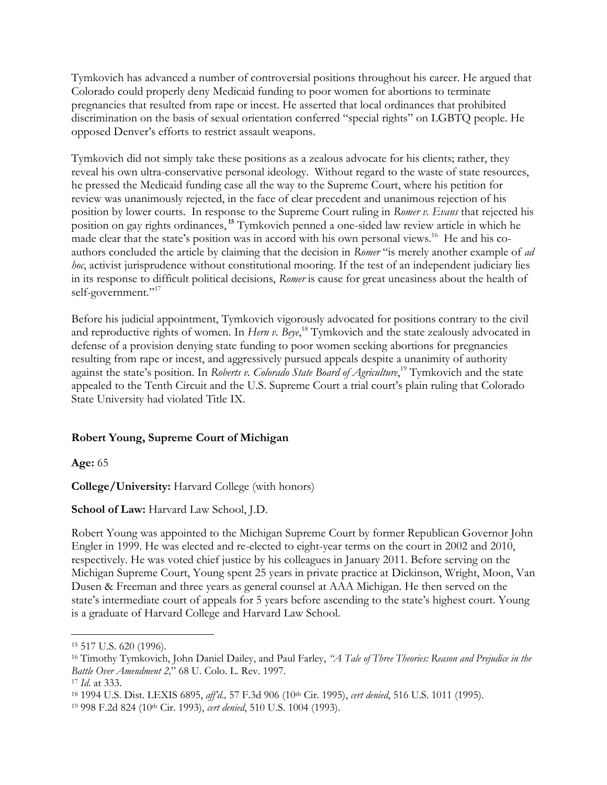Tymkovich has advanced a number of controversial positions throughout his career. He argued that Colorado could properly deny Medicaid funding to poor women for abortions to terminate pregnancies that resulted from rape or incest. He asserted that local ordinances that prohibited discrimination on the basis of sexual orientation conferred "special rights" on LGBTQ people. He opposed Denver's efforts to restrict assault weapons.

Tymkovich did not simply take these positions as a zealous advocate for his clients; rather, they reveal his own ultra-conservative personal ideology. Without regard to the waste of state resources, he pressed the Medicaid funding case all the way to the Supreme Court, where his petition for review was unanimously rejected, in the face of clear precedent and unanimous rejection of his position by lower courts. In response to the Supreme Court ruling in *Romer v. Evans* that rejected his position on gay rights ordinances, **<sup>15</sup>** Tymkovich penned a one-sided law review article in which he made clear that the state's position was in accord with his own personal views.<sup>16</sup> He and his coauthors concluded the article by claiming that the decision in *Romer* "is merely another example of *ad hoc*, activist jurisprudence without constitutional mooring. If the test of an independent judiciary lies in its response to difficult political decisions, *Romer* is cause for great uneasiness about the health of self-government."<sup>17</sup>

Before his judicial appointment, Tymkovich vigorously advocated for positions contrary to the civil and reproductive rights of women. In *Hern v. Beye*, <sup>18</sup> Tymkovich and the state zealously advocated in defense of a provision denying state funding to poor women seeking abortions for pregnancies resulting from rape or incest, and aggressively pursued appeals despite a unanimity of authority against the state's position. In *Roberts v. Colorado State Board of Agriculture*, <sup>19</sup> Tymkovich and the state appealed to the Tenth Circuit and the U.S. Supreme Court a trial court's plain ruling that Colorado State University had violated Title IX.

## **Robert Young, Supreme Court of Michigan**

**Age:** 65

**College/University:** Harvard College (with honors)

## **School of Law:** Harvard Law School, J.D.

Robert Young was appointed to the Michigan Supreme Court by former Republican Governor John Engler in 1999. He was elected and re-elected to eight-year terms on the court in 2002 and 2010, respectively. He was voted chief justice by his colleagues in January 2011. Before serving on the Michigan Supreme Court, Young spent 25 years in private practice at Dickinson, Wright, Moon, Van Dusen & Freeman and three years as general counsel at AAA Michigan. He then served on the state's intermediate court of appeals for 5 years before ascending to the state's highest court. Young is a graduate of Harvard College and Harvard Law School.

 $\overline{a}$ 

<sup>15</sup> 517 U.S. 620 (1996).

<sup>16</sup> Timothy Tymkovich, John Daniel Dailey, and Paul Farley, *"A Tale of Three Theories: Reason and Prejudice in the Battle Over Amendment 2,*" 68 U. Colo. L. Rev. 1997.

<sup>17</sup> *Id*. at 333.

<sup>18</sup> 1994 U.S. Dist. LEXIS 6895, *aff'd.,* 57 F.3d 906 (10th Cir. 1995), *cert denied*, 516 U.S. 1011 (1995).

<sup>19</sup> 998 F.2d 824 (10th Cir. 1993), *cert denied*, 510 U.S. 1004 (1993).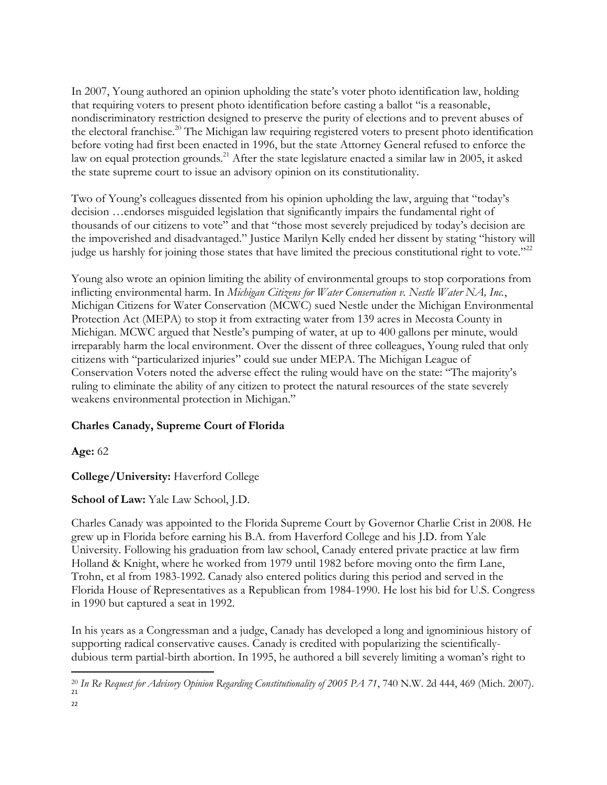In 2007, Young authored an opinion upholding the state's voter photo identification law, holding that requiring voters to present photo identification before casting a ballot "is a reasonable, nondiscriminatory restriction designed to preserve the purity of elections and to prevent abuses of the electoral franchise.<sup>20</sup> The Michigan law requiring registered voters to present photo identification before voting had first been enacted in 1996, but the state Attorney General refused to enforce the law on equal protection grounds.<sup>21</sup> After the state legislature enacted a similar law in 2005, it asked the state supreme court to issue an advisory opinion on its constitutionality.

Two of Young's colleagues dissented from his opinion upholding the law, arguing that "today's decision …endorses misguided legislation that significantly impairs the fundamental right of thousands of our citizens to vote" and that "those most severely prejudiced by today's decision are the impoverished and disadvantaged." Justice Marilyn Kelly ended her dissent by stating "history will judge us harshly for joining those states that have limited the precious constitutional right to vote."<sup>22</sup>

Young also wrote an opinion limiting the ability of environmental groups to stop corporations from inflicting environmental harm. In *Michigan Citizens for Water Conservation v. Nestle Water NA, Inc.*, Michigan Citizens for Water Conservation (MCWC) sued Nestle under the Michigan Environmental Protection Act (MEPA) to stop it from extracting water from 139 acres in Mecosta County in Michigan. MCWC argued that Nestle's pumping of water, at up to 400 gallons per minute, would irreparably harm the local environment. Over the dissent of three colleagues, Young ruled that only citizens with "particularized injuries" could sue under MEPA. The Michigan League of Conservation Voters noted the adverse effect the ruling would have on the state: "The majority's ruling to eliminate the ability of any citizen to protect the natural resources of the state severely weakens environmental protection in Michigan."

## **Charles Canady, Supreme Court of Florida**

**Age:** 62

l

**College/University:** Haverford College

**School of Law:** Yale Law School, J.D.

Charles Canady was appointed to the Florida Supreme Court by Governor Charlie Crist in 2008. He grew up in Florida before earning his B.A. from Haverford College and his J.D. from Yale University. Following his graduation from law school, Canady entered private practice at law firm Holland & Knight, where he worked from 1979 until 1982 before moving onto the firm Lane, Trohn, et al from 1983-1992. Canady also entered politics during this period and served in the Florida House of Representatives as a Republican from 1984-1990. He lost his bid for U.S. Congress in 1990 but captured a seat in 1992.

In his years as a Congressman and a judge, Canady has developed a long and ignominious history of supporting radical conservative causes. Canady is credited with popularizing the scientificallydubious term partial-birth abortion. In 1995, he authored a bill severely limiting a woman's right to

<sup>20</sup> *In Re Request for Advisory Opinion Regarding Constitutionality of 2005 PA 71*, 740 N.W. 2d 444, 469 (Mich. 2007). 21 22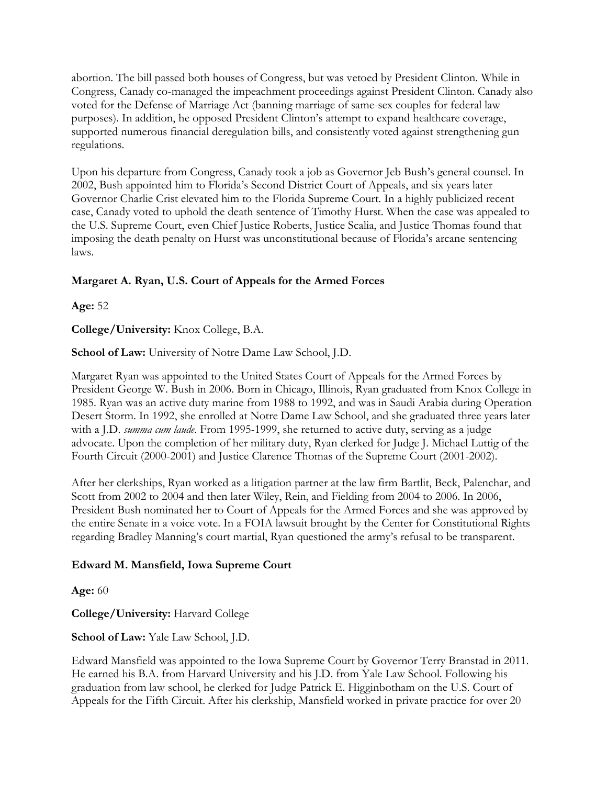abortion. The bill passed both houses of Congress, but was vetoed by President Clinton. While in Congress, Canady co-managed the impeachment proceedings against President Clinton. Canady also voted for the Defense of Marriage Act (banning marriage of same-sex couples for federal law purposes). In addition, he opposed President Clinton's attempt to expand healthcare coverage, supported numerous financial deregulation bills, and consistently voted against strengthening gun regulations.

Upon his departure from Congress, Canady took a job as Governor Jeb Bush's general counsel. In 2002, Bush appointed him to Florida's Second District Court of Appeals, and six years later Governor Charlie Crist elevated him to the Florida Supreme Court. In a highly publicized recent case, Canady voted to uphold the death sentence of Timothy Hurst. When the case was appealed to the U.S. Supreme Court, even Chief Justice Roberts, Justice Scalia, and Justice Thomas found that imposing the death penalty on Hurst was unconstitutional because of Florida's arcane sentencing laws.

## **Margaret A. Ryan, U.S. Court of Appeals for the Armed Forces**

**Age:** 52

**College/University:** Knox College, B.A.

**School of Law:** University of Notre Dame Law School, J.D.

Margaret Ryan was appointed to the United States Court of Appeals for the Armed Forces by President George W. Bush in 2006. Born in Chicago, Illinois, Ryan graduated from Knox College in 1985. Ryan was an active duty marine from 1988 to 1992, and was in Saudi Arabia during Operation Desert Storm. In 1992, she enrolled at Notre Dame Law School, and she graduated three years later with a J.D. *summa cum laude*. From 1995-1999, she returned to active duty, serving as a judge advocate. Upon the completion of her military duty, Ryan clerked for Judge J. Michael Luttig of the Fourth Circuit (2000-2001) and Justice Clarence Thomas of the Supreme Court (2001-2002).

After her clerkships, Ryan worked as a litigation partner at the law firm Bartlit, Beck, Palenchar, and Scott from 2002 to 2004 and then later Wiley, Rein, and Fielding from 2004 to 2006. In 2006, President Bush nominated her to Court of Appeals for the Armed Forces and she was approved by the entire Senate in a voice vote. In a FOIA lawsuit brought by the Center for Constitutional Rights regarding Bradley Manning's court martial, Ryan questioned the army's refusal to be transparent.

## **Edward M. Mansfield, Iowa Supreme Court**

**Age:** 60

**College/University:** Harvard College

**School of Law:** Yale Law School, J.D.

Edward Mansfield was appointed to the Iowa Supreme Court by Governor Terry Branstad in 2011. He earned his B.A. from Harvard University and his J.D. from Yale Law School. Following his graduation from law school, he clerked for Judge Patrick E. Higginbotham on the U.S. Court of Appeals for the Fifth Circuit. After his clerkship, Mansfield worked in private practice for over 20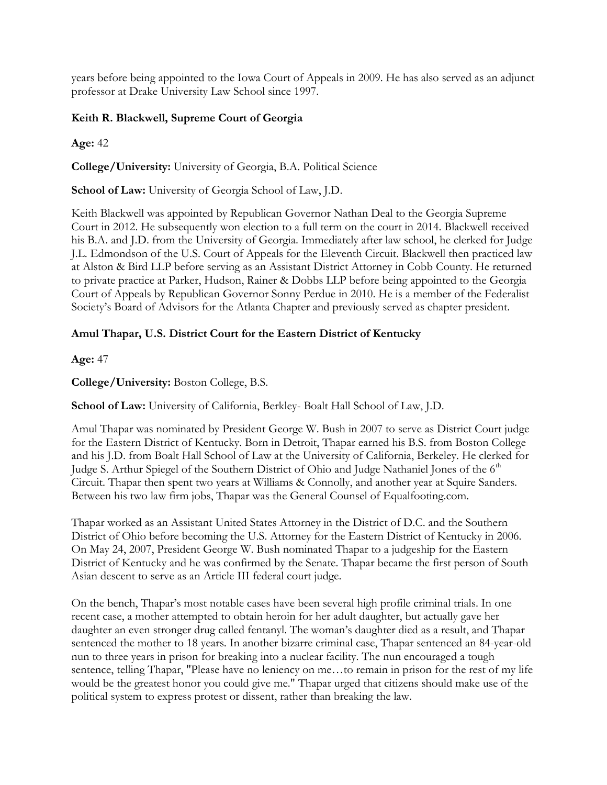years before being appointed to the Iowa Court of Appeals in 2009. He has also served as an adjunct professor at Drake University Law School since 1997.

#### **Keith R. Blackwell, Supreme Court of Georgia**

**Age:** 42

**College/University:** University of Georgia, B.A. Political Science

**School of Law:** University of Georgia School of Law, J.D.

Keith Blackwell was appointed by Republican Governor Nathan Deal to the Georgia Supreme Court in 2012. He subsequently won election to a full term on the court in 2014. Blackwell received his B.A. and J.D. from the University of Georgia. Immediately after law school, he clerked for Judge J.L. Edmondson of the U.S. Court of Appeals for the Eleventh Circuit. Blackwell then practiced law at Alston & Bird LLP before serving as an Assistant District Attorney in Cobb County. He returned to private practice at Parker, Hudson, Rainer & Dobbs LLP before being appointed to the Georgia Court of Appeals by Republican Governor Sonny Perdue in 2010. He is a member of the Federalist Society's Board of Advisors for the Atlanta Chapter and previously served as chapter president.

#### **Amul Thapar, U.S. District Court for the Eastern District of Kentucky**

**Age:** 47

**College/University:** Boston College, B.S.

**School of Law:** University of California, Berkley- Boalt Hall School of Law, J.D.

Amul Thapar was nominated by President George W. Bush in 2007 to serve as District Court judge for the Eastern District of Kentucky. Born in Detroit, Thapar earned his B.S. from Boston College and his J.D. from Boalt Hall School of Law at the University of California, Berkeley. He clerked for Judge S. Arthur Spiegel of the Southern District of Ohio and Judge Nathaniel Jones of the 6<sup>th</sup> Circuit. Thapar then spent two years at Williams & Connolly, and another year at Squire Sanders. Between his two law firm jobs, Thapar was the General Counsel of Equalfooting.com.

Thapar worked as an Assistant United States Attorney in the District of D.C. and the Southern District of Ohio before becoming the U.S. Attorney for the Eastern District of Kentucky in 2006. On May 24, 2007, President George W. Bush nominated Thapar to a judgeship for the Eastern District of Kentucky and he was confirmed by the Senate. Thapar became the first person of South Asian descent to serve as an Article III federal court judge.

On the bench, Thapar's most notable cases have been several high profile criminal trials. In one recent case, a mother attempted to obtain heroin for her adult daughter, but actually gave her daughter an even stronger drug called fentanyl. The woman's daughter died as a result, and Thapar sentenced the mother to 18 years. In another bizarre criminal case, Thapar sentenced an 84-year-old nun to three years in prison for breaking into a nuclear facility. The nun encouraged a tough sentence, telling Thapar, "Please have no leniency on me…to remain in prison for the rest of my life would be the greatest honor you could give me." Thapar urged that citizens should make use of the political system to express protest or dissent, rather than breaking the law.